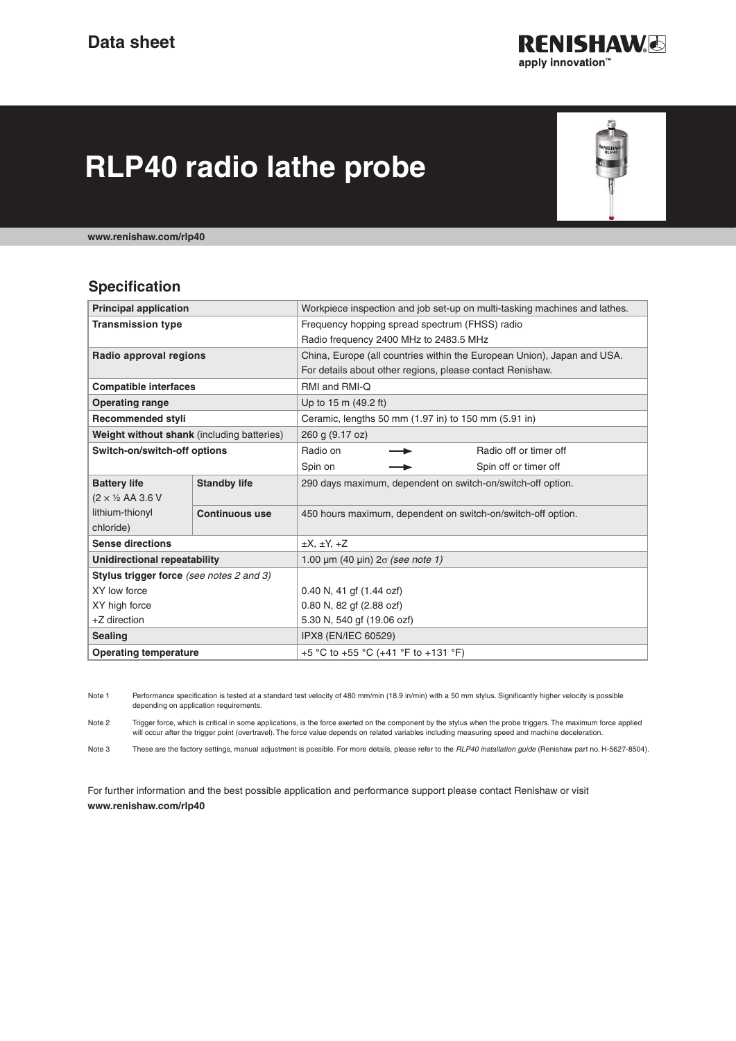

# **RLP40 radio lathe probe**



**www.renishaw.com/rlp40**

#### **Specification**

| <b>Principal application</b>               |                       | Workpiece inspection and job set-up on multi-tasking machines and lathes. |
|--------------------------------------------|-----------------------|---------------------------------------------------------------------------|
| <b>Transmission type</b>                   |                       | Frequency hopping spread spectrum (FHSS) radio                            |
|                                            |                       | Radio frequency 2400 MHz to 2483.5 MHz                                    |
| Radio approval regions                     |                       | China, Europe (all countries within the European Union), Japan and USA.   |
|                                            |                       | For details about other regions, please contact Renishaw.                 |
| <b>Compatible interfaces</b>               |                       | RMI and RMI-Q                                                             |
| <b>Operating range</b>                     |                       | Up to 15 m (49.2 ft)                                                      |
| <b>Recommended styli</b>                   |                       | Ceramic, lengths 50 mm (1.97 in) to 150 mm (5.91 in)                      |
| Weight without shank (including batteries) |                       | 260 g (9.17 oz)                                                           |
| Switch-on/switch-off options               |                       | Radio on<br>Radio off or timer off                                        |
|                                            |                       | Spin on<br>Spin off or timer off                                          |
| <b>Battery life</b>                        | <b>Standby life</b>   | 290 days maximum, dependent on switch-on/switch-off option.               |
| $(2 \times \frac{1}{2}$ AA 3.6 V           |                       |                                                                           |
| lithium-thionyl                            | <b>Continuous use</b> | 450 hours maximum, dependent on switch-on/switch-off option.              |
| chloride)                                  |                       |                                                                           |
| <b>Sense directions</b>                    |                       | $\pm X$ , $\pm Y$ , $\pm Z$                                               |
| Unidirectional repeatability               |                       | 1.00 $\mu$ m (40 $\mu$ in) $2\sigma$ (see note 1)                         |
| Stylus trigger force (see notes 2 and 3)   |                       |                                                                           |
| XY low force                               |                       | 0.40 N, 41 gf (1.44 ozf)                                                  |
| XY high force                              |                       | 0.80 N, 82 gf (2.88 ozf)                                                  |
| +Z direction                               |                       | 5.30 N, 540 gf (19.06 ozf)                                                |
| <b>Sealing</b>                             |                       | IPX8 (EN/IEC 60529)                                                       |
| <b>Operating temperature</b>               |                       | +5 °C to +55 °C (+41 °F to +131 °F)                                       |

Note 1 Performance specification is tested at a standard test velocity of 480 mm/min (18.9 in/min) with a 50 mm stylus. Significantly higher velocity is possible depending on application requirements.

Note 2 Trigger force, which is critical in some applications, is the force exerted on the component by the stylus when the probe triggers. The maximum force applied will occur after the trigger point (overtravel). The force value depends on related variables including measuring speed and machine deceleration.

Note 3 These are the factory settings, manual adjustment is possible. For more details, please refer to the *RLP40 installation guide* (Renishaw part no. H-5627-8504).

For further information and the best possible application and performance support please contact Renishaw or visit **www.renishaw.com/rlp40**